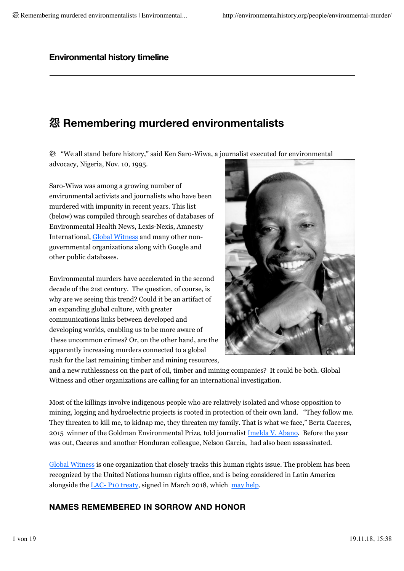# **Environmental history timeline**

# 怨 **Remembering murdered environmentalists**

怨 "We all stand before history," said Ken Saro-Wiwa, a journalist executed for environmental advocacy, Nigeria, Nov. 10, 1995.

Saro-Wiwa was among a growing number of environmental activists and journalists who have been murdered with impunity in recent years. This list (below) was compiled through searches of databases of Environmental Health News, Lexis-Nexis, Amnesty International, Global Witness and many other nongovernmental organizations along with Google and other public databases.

Environmental murders have accelerated in the second decade of the 21st century. The question, of course, is why are we seeing this trend? Could it be an artifact of an expanding global culture, with greater communications links between developed and developing worlds, enabling us to be more aware of these uncommon crimes? Or, on the other hand, are the apparently increasing murders connected to a global rush for the last remaining timber and mining resources,



and a new ruthlessness on the part of oil, timber and mining companies? It could be both. Global Witness and other organizations are calling for an international investigation.

Most of the killings involve indigenous people who are relatively isolated and whose opposition to mining, logging and hydroelectric projects is rooted in protection of their own land. "They follow me. They threaten to kill me, to kidnap me, they threaten my family. That is what we face," Berta Caceres, 2015 winner of the Goldman Environmental Prize, told journalist Imelda V. Abano. Before the year was out, Caceres and another Honduran colleague, Nelson Garcia, had also been assassinated.

Global Witness is one organization that closely tracks this human rights issue. The problem has been recognized by the United Nations human rights office, and is being considered in Latin America alongside the LAC- P10 treaty, signed in March 2018, which may help.

# **NAMES REMEMBERED IN SORROW AND HONOR**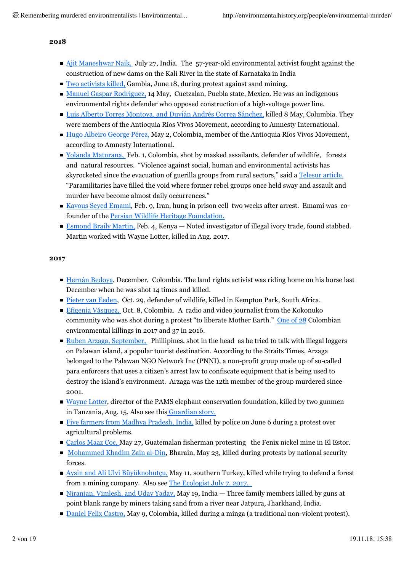- Ajit Maneshwar Naik, July 27, India. The 57-year-old environmental activist fought against the construction of new dams on the Kali River in the state of Karnataka in India
- Two activists killed, Gambia, June 18, during protest against sand mining.
- Manuel Gaspar Rodríguez, 14 May, Cuetzalan, Puebla state, Mexico. He was an indigenous environmental rights defender who opposed construction of a high-voltage power line.
- Luis Alberto Torres Montoya, and Duvián Andrés Correa Sánchez, killed 8 May, Columbia. They were members of the Antioquia Ríos Vivos Movement, according to Amnesty International.
- Hugo Albeiro George Pérez, May 2, Colombia, member of the Antioquia Ríos Vivos Movement, according to Amnesty International.
- Yolanda Maturana, Feb. 1, Colombia, shot by masked assailants, defender of wildlife, forests and natural resources. "Violence against social, human and environmental activists has skyrocketed since the evacuation of guerilla groups from rural sectors," said a Telesur article. "Paramilitaries have filled the void where former rebel groups once held sway and assault and murder have become almost daily occurrences."
- Kavous Seyed Emami, Feb. 9, Iran, hung in prison cell two weeks after arrest. Emami was cofounder of the Persian Wildlife Heritage Foundation.
- Esmond Braily Martin, Feb. 4, Kenya Noted investigator of illegal ivory trade, found stabbed. Martin worked with Wayne Lotter, killed in Aug. 2017.

- Hernán Bedoya, December, Colombia. The land rights activist was riding home on his horse last December when he was shot 14 times and killed.
- Pieter van Eeden, Oct. 29, defender of wildlife, killed in Kempton Park, South Africa.
- Efigenia Vásquez, Oct. 8, Colombia. A radio and video journalist from the Kokonuko community who was shot during a protest "to liberate Mother Earth." One of 28 Colombian environmental killings in 2017 and 37 in 2016.
- Ruben Arzaga, September, Phillipines, shot in the head as he tried to talk with illegal loggers on Palawan island, a popular tourist destination. According to the Straits Times, Arzaga belonged to the Palawan NGO Network Inc (PNNI), a non-profit group made up of so-called para enforcers that uses a citizen's arrest law to confiscate equipment that is being used to destroy the island's environment. Arzaga was the 12th member of the group murdered since 2001.
- Wayne Lotter, director of the PAMS elephant conservation foundation, killed by two gunmen in Tanzania, Aug. 15. Also see this Guardian story.
- Five farmers from Madhya Pradesh, India, killed by police on June 6 during a protest over agricultural problems.
- Carlos Maaz Coc, May 27, Guatemalan fisherman protesting the Fenix nickel mine in El Estor.
- Mohammed Khadim Zain al-Din, Bharain, May 23, killed during protests by national security forces.
- Aysin and Ali Ulvi Büyüknohutçu, May 11, southern Turkey, killed while trying to defend a forest from a mining company. Also see The Ecologist July 7, 2017.
- Niranjan, Vimlesh, and Uday Yadav, May 19, India Three family members killed by guns at point blank range by miners taking sand from a river near Jatpura, Jharkhand, India.
- Daniel Felix Castro, May 9, Colombia, killed during a minga (a traditional non-violent protest).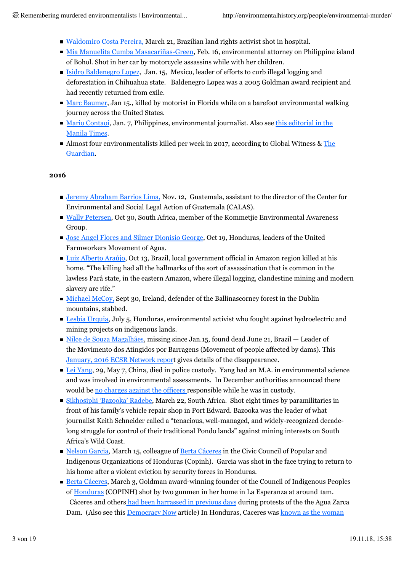- Waldomiro Costa Pereira, March 21, Brazilian land rights activist shot in hospital.
- Mia Manuelita Cumba Masacariñas-Green, Feb. 16, environmental attorney on Philippine island of Bohol. Shot in her car by motorcycle assassins while with her children.
- Isidro Baldenegro Lopez, Jan. 15, Mexico, leader of efforts to curb illegal logging and deforestation in Chihuahua state. Baldenegro Lopez was a 2005 Goldman award recipient and had recently returned from exile.
- **Marc Baumer, Jan 15., killed by motorist in Florida while on a barefoot environmental walking** journey across the United States.
- Mario Contaoi, Jan. 7, Philippines, environmental journalist. Also see this editorial in the Manila Times.
- Almost four environmentalists killed per week in 2017, according to Global Witness & The Guardian.

- Jeremy Abraham Barrios Lima, Nov. 12, Guatemala, assistant to the director of the Center for Environmental and Social Legal Action of Guatemala (CALAS).
- Wally Petersen, Oct 30, South Africa, member of the Kommetjie Environmental Awareness Group.
- Jose Angel Flores and Silmer Dionisio George, Oct 19, Honduras, leaders of the United Farmworkers Movement of Agua.
- Luiz Alberto Araújo, Oct 13, Brazil, local government official in Amazon region killed at his home. "The killing had all the hallmarks of the sort of assassination that is common in the lawless Pará state, in the eastern Amazon, where illegal logging, clandestine mining and modern slavery are rife."
- Michael McCoy, Sept 30, Ireland, defender of the Ballinascorney forest in the Dublin mountains, stabbed.
- Lesbia Urquia, July 5, Honduras, environmental activist who fought against hydroelectric and mining projects on indigenous lands.
- Nilce de Souza Magalhães, missing since Jan.15, found dead June 21, Brazil Leader of the Movimento dos Atingidos por Barragens (Movement of people affected by dams). This January, 2016 ECSR Network report gives details of the disappearance.
- Lei Yang, 29, May 7, China, died in police custody. Yang had an M.A. in environmental science and was involved in environmental assessments. In December authorities announced there would be no charges against the officers responsible while he was in custody.
- Sikhosiphi 'Bazooka' Radebe, March 22, South Africa. Shot eight times by paramilitaries in front of his family's vehicle repair shop in Port Edward. Bazooka was the leader of what journalist Keith Schneider called a "tenacious, well-managed, and widely-recognized decadelong struggle for control of their traditional Pondo lands" against mining interests on South Africa's Wild Coast.
- Nelson Garcia, March 15, colleague of Berta Cáceres in the Civic Council of Popular and Indigenous Organizations of Honduras (Copinh). Garcia was shot in the face trying to return to his home after a violent eviction by security forces in Honduras.
- Berta Cáceres, March 3, Goldman award-winning founder of the Council of Indigenous Peoples of Honduras (COPINH) shot by two gunmen in her home in La Esperanza at around 1am. Cáceres and others had been harrassed in previous days during protests of the the Agua Zarca Dam. (Also see this Democracy Now article) In Honduras, Caceres was known as the woman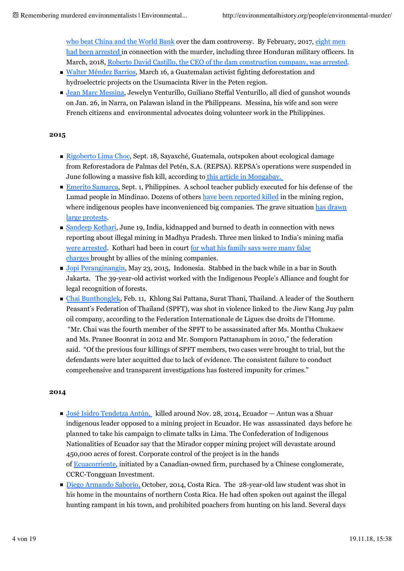who beat China and the World Bank over the dam controversy. By February, 2017, eight men had been arrested in connection with the murder, including three Honduran military officers. In March, 2018, Roberto David Castillo, the CEO of the dam construction company, was arrested.

- Walter Méndez Barrios, March 16, a Guatemalan activist fighting deforestation and hydroelectric projects on the Usumacinta River in the Peten region.
- Jean Marc Messina, Jewelyn Venturillo, Guiliano Steffal Venturillo, all died of gunshot wounds on Jan. 26, in Narra, on Palawan island in the Philippeans. Messina, his wife and son were French citizens and environmental advocates doing volunteer work in the Philippines.

#### **2015**

- Rigoberto Lima Choc, Sept. 18, Sayaxché, Guatemala, outspoken about ecological damage from Reforestadora de Palmas del Petén, S.A. (REPSA). REPSA's operations were suspended in June following a massive fish kill, according to this article in Mongabay.
- Emerito Samarca, Sept. 1, Philippines. A school teacher publicly executed for his defense of the Lumad people in Mindinao. Dozens of others have been reported killed in the mining region, where indigenous peoples have inconvenienced big companies. The grave situation has drawn large protests.
- Sandeep Kothari, June 19, India, kidnapped and burned to death in connection with news reporting about illegal mining in Madhya Pradesh. Three men linked to India's mining mafia were arrested. Kothari had been in court for what his family says were many false charges brought by allies of the mining companies.
- Jopi Peranginangin, May 23, 2015, Indonesia. Stabbed in the back while in a bar in South Jakarta. The 39-year-old activist worked with the Indigenous People's Alliance and fought for legal recognition of forests.
- Chai Bunthonglek, Feb. 11, Khlong Sai Pattana, Surat Thani, Thailand. A leader of the Southern Peasant's Federation of Thailand (SPFT), was shot in violence linked to the Jiew Kang Juy palm oil company, according to the Federation Internationale de Ligues dse droits de l'Homme. "Mr. Chai was the fourth member of the SPFT to be assassinated after Ms. Montha Chukaew and Ms. Pranee Boonrat in 2012 and Mr. Somporn Pattanaphum in 2010," the federation said. "Of the previous four killings of SPFT members, two cases were brought to trial, but the defendants were later acquitted due to lack of evidence. The consistent failure to conduct comprehensive and transparent investigations has fostered impunity for crimes."

- José Isidro Tendetza Antún, killed around Nov. 28, 2014, Ecuador Antun was a Shuar indigenous leader opposed to a mining project in Ecuador. He was assassinated days before he planned to take his campaign to climate talks in Lima. The Confederation of Indigenous Nationalities of Ecuador say that the Mirador copper mining project will devastate around 450,000 acres of forest. Corporate control of the project is in the hands of Ecuacorriente, initiated by a Canadian-owned firm, purchased by a Chinese conglomerate, CCRC-Tongguan Investment.
- Diego Armando Saborío, October, 2014, Costa Rica. The 28-year-old law student was shot in his home in the mountains of northern Costa Rica. He had often spoken out against the illegal hunting rampant in his town, and prohibited poachers from hunting on his land. Several days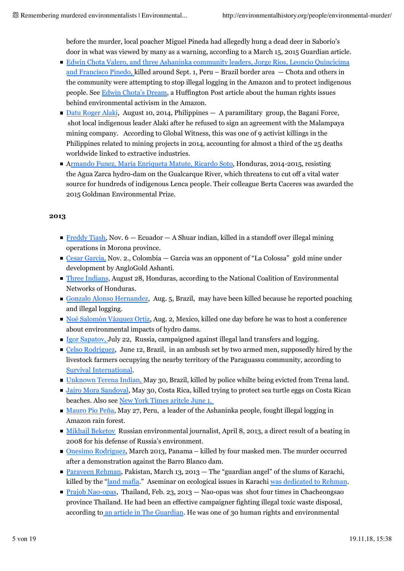before the murder, local poacher Miguel Pineda had allegedly hung a dead deer in Saborío's door in what was viewed by many as a warning, according to a March 15, 2015 Guardian article.

- Edwin Chota Valero, and three Ashaninka community leaders, Jorge Rios, Leoncio Quincicima and Francisco Pinedo, killed around Sept. 1, Peru – Brazil border area — Chota and others in the community were attempting to stop illegal logging in the Amazon and to protect indigenous people. See Edwin Chota's Dream, a Huffington Post article about the human rights issues behind environmental activism in the Amazon.
- Datu Roger Alaki, August 10, 2014, Philippines A paramilitary group, the Bagani Force, shot local indigenous leader Alaki after he refused to sign an agreement with the Malampaya mining company. According to Global Witness, this was one of 9 activist killings in the Philippines related to mining projects in 2014, accounting for almost a third of the 25 deaths worldwide linked to extractive industries.
- Armando Funez, Maria Enriqueta Matute, Ricardo Soto, Honduras, 2014-2015, resisting the Agua Zarca hydro-dam on the Gualcarque River, which threatens to cut off a vital water source for hundreds of indigenous Lenca people. Their colleague Berta Caceres was awarded the 2015 Goldman Environmental Prize.

- **Freddy Tiash, Nov. 6 Ecuador A Shuar indian, killed in a standoff over illegal mining** operations in Morona province.
- Cesar Garcia, Nov. 2., Colombia Garcia was an opponent of "La Colossa" gold mine under development by AngloGold Ashanti.
- Three Indians, August 28, Honduras, according to the National Coalition of Environmental Networks of Honduras.
- Gonzalo Alonso Hernandez, Aug. 5, Brazil, may have been killed because he reported poaching and illegal logging.
- Noé Salomón Vázquez Ortiz, Aug. 2, Mexico, killed one day before he was to host a conference about environmental impacts of hydro dams.
- **Igor Sapatov, July 22, Russia, campaigned against illegal land transfers and logging.**
- Celso Rodriguez, June 12, Brazil, in an ambush set by two armed men, supposedly hired by the livestock farmers occupying the nearby territory of the Paraguassu community, according to Survival International.
- Unknown Terena Indian, May 30, Brazil, killed by police whilte being evicted from Trena land.
- Jairo Mora Sandoval, May 30, Costa Rica, killed trying to protect sea turtle eggs on Costa Rican beaches. Also see New York Times aritcle June 1.
- Mauro Pio Peña, May 27, Peru, a leader of the Ashaninka people, fought illegal logging in Amazon rain forest.
- Mikhail Beketov Russian environmental journalist, April 8, 2013, a direct result of a beating in 2008 for his defense of Russia's environment.
- Onesimo Rodriguez, March 2013, Panama killed by four masked men. The murder occurred after a demonstration against the Barro Blanco dam.
- **Paraveen Rehman, Pakistan, March 13, 2013 The "guardian angel" of the slums of Karachi,** killed by the "land mafia." Aseminar on ecological issues in Karachi was dedicated to Rehman.
- **Prajob Nao-opas, Thailand, Feb. 23, 2013 Nao-opas was shot four times in Chacheongsao** province Thailand. He had been an effective campaigner fighting illegal toxic waste disposal, according to an article in The Guardian. He was one of 30 human rights and environmental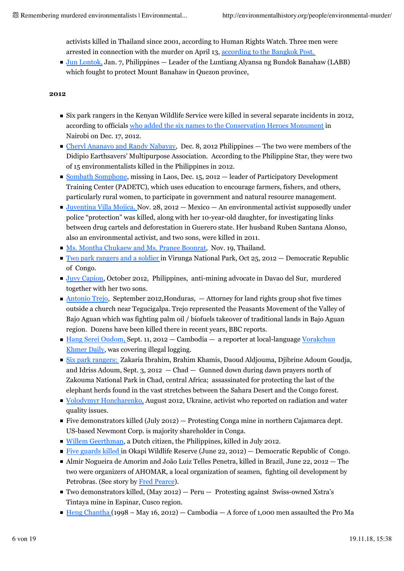activists killed in Thailand since 2001, according to Human Rights Watch. Three men were arrested in connection with the murder on April 13, according to the Bangkok Post.

Jun Lontok, Jan. 7, Philippines — Leader of the Luntiang Alyansa ng Bundok Banahaw (LABB) which fought to protect Mount Banahaw in Quezon province,

- Six park rangers in the Kenyan Wildlife Service were killed in several separate incidents in 2012, according to officials who added the six names to the Conservation Heroes Monument in Nairobi on Dec. 17, 2012.
- Cheryl Ananayo and Randy Nabayay, Dec. 8, 2012 Philippines The two were members of the Didipio Earthsavers' Multipurpose Association. According to the Philippine Star, they were two of 15 environmentalists killed in the Philippines in 2012.
- Sombath Somphone, missing in Laos, Dec. 15, 2012 leader of Participatory Development Training Center (PADETC), which uses education to encourage farmers, fishers, and others, particularly rural women, to participate in government and natural resource management.
- **Juventina Villa Mojica, Nov. 28, 2012 Mexico An environmental activist supposedly under** police "protection" was killed, along with her 10-year-old daughter, for investigating links between drug cartels and deforestation in Guerero state. Her husband Ruben Santana Alonso, also an environmental activist, and two sons, were killed in 2011.
- Ms. Montha Chukaew and Ms. Pranee Boonrat, Nov. 19, Thailand.
- Two park rangers and a soldier in Virunga National Park, Oct 25, 2012 Democratic Republic of Congo.
- Juvy Capion, October 2012, Philippines, anti-mining advocate in Davao del Sur, murdered together with her two sons.
- Antonio Trejo, September 2012,Honduras, Attorney for land rights group shot five times outside a church near Tegucigalpa. Trejo represented the Peasants Movement of the Valley of Bajo Aguan which was fighting palm oil / biofuels takeover of traditional lands in Bajo Aguan region. Dozens have been killed there in recent years, BBC reports.
- Hang Serei Oudom, Sept. 11, 2012 Cambodia a reporter at local-language Vorakchun Khmer Daily, was covering illegal logging.
- Six park rangers: Zakaria Ibrahim, Brahim Khamis, Daoud Aldjouma, Djibrine Adoum Goudja, and Idriss Adoum, Sept. 3, 2012 — Chad — Gunned down during dawn prayers north of Zakouma National Park in Chad, central Africa; assassinated for protecting the last of the elephant herds found in the vast stretches between the Sahara Desert and the Congo forest.
- Volodymyr Honcharenko, August 2012, Ukraine, activist who reported on radiation and water quality issues.
- Five demonstrators killed (July 2012) Protesting Conga mine in northern Cajamarca dept. US-based Newmont Corp. is majority shareholder in Conga.
- Willem Geerthman, a Dutch citizen, the Philippines, killed in July 2012.
- Five guards killed in Okapi Wildlife Reserve (June 22, 2012) Democratic Republic of Congo.
- Almir Nogueira de Amorim and João Luiz Telles Penetra, killed in Brazil, June 22, 2012 The two were organizers of AHOMAR, a local organization of seamen, fighting oil development by Petrobras. (See story by Fred Pearce).
- $\blacksquare$  Two demonstrators killed, (May 2012) Peru Protesting against Swiss-owned Xstra's Tintaya mine in Espinar, Cusco region.
- $\blacksquare$  Heng Chantha (1998 May 16, 2012) Cambodia A force of 1,000 men assaulted the Pro Ma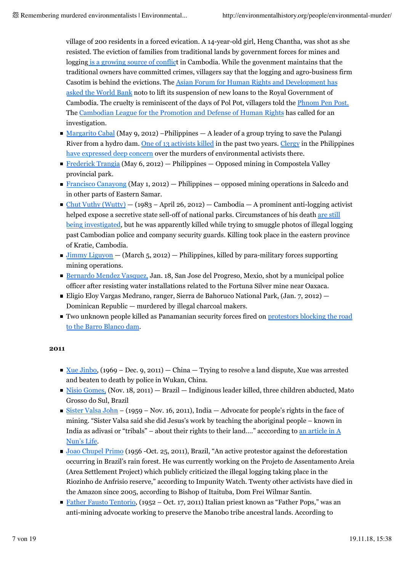village of 200 residents in a forced evication. A 14-year-old girl, Heng Chantha, was shot as she resisted. The eviction of families from traditional lands by government forces for mines and logging is a growing source of conflict in Cambodia. While the govenment maintains that the traditional owners have committed crimes, villagers say that the logging and agro-business firm Casotim is behind the evictions. The Asian Forum for Human Rights and Development has asked the World Bank noto to lift its suspension of new loans to the Royal Government of Cambodia. The cruelty is reminiscent of the days of Pol Pot, villagers told the Phnom Pen Post. The Cambodian League for the Promotion and Defense of Human Rights has called for an investigation.

- Margarito Cabal (May 9, 2012) –Philippines A leader of a group trying to save the Pulangi River from a hydro dam. One of 13 activists killed in the past two years. Clergy in the Philippines have expressed deep concern over the murders of environmental activists there.
- Frederick Trangia (May 6, 2012) Philippines Opposed mining in Compostela Valley provincial park.
- Francisco Canayong (May 1, 2012) Philippines opposed mining operations in Salcedo and in other parts of Eastern Samar.
- Chut Vuthy (Wutty) (1983 April 26, 2012) Cambodia A prominent anti-logging activist helped expose a secretive state sell-off of national parks. Circumstances of his death are still being investigated, but he was apparently killed while trying to smuggle photos of illegal logging past Cambodian police and company security guards. Killing took place in the eastern province of Kratie, Cambodia.
- $\Box$  Jimmy Liguyon (March 5, 2012) Philippines, killed by para-military forces supporting mining operations.
- Bernardo Mendez Vasquez, Jan. 18, San Jose del Progreso, Mexio, shot by a municipal police officer after resisting water installations related to the Fortuna Silver mine near Oaxaca.
- Eligio Eloy Vargas Medrano, ranger, Sierra de Bahoruco National Park, (Jan. 7, 2012) Dominican Republic — murdered by illegal charcoal makers.
- Two unknown people killed as Panamanian security forces fired on protestors blocking the road to the Barro Blanco dam.

- $\blacksquare$  Xue Jinbo, (1969 Dec. 9, 2011) China Trying to resolve a land dispute, Xue was arrested and beaten to death by police in Wukan, China.
- Nísio Gomes, (Nov. 18, 2011) Brazil Indiginous leader killed, three children abducted, Mato Grosso do Sul, Brazil
- Sister Valsa John (1959 Nov. 16, 2011), India Advocate for people's rights in the face of mining. "Sister Valsa said she did Jesus's work by teaching the aboriginal people – known in India as adivasi or "tribals" – about their rights to their land…." acccording to an article in A Nun's Life.
- Joao Chupel Primo (1956 -Oct. 25, 2011), Brazil, "An active protestor against the deforestation occurring in Brazil's rain forest. He was currently working on the Projeto de Assentamento Areia (Area Settlement Project) which publicly criticized the illegal logging taking place in the Riozinho de Anfrisio reserve," according to Impunity Watch. Twenty other activists have died in the Amazon since 2005, according to Bishop of Itaituba, Dom Frei Wilmar Santin.
- Father Fausto Tentorio, (1952 Oct. 17, 2011) Italian priest known as "Father Pops," was an anti-mining advocate working to preserve the Manobo tribe ancestral lands. According to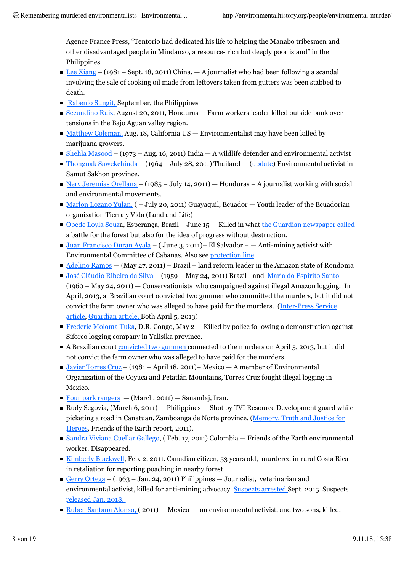Agence France Press, "Tentorio had dedicated his life to helping the Manabo tribesmen and other disadvantaged people in Mindanao, a resource- rich but deeply poor island" in the Philippines.

- Lee Xiang (1981 Sept. 18, 2011) China, A journalist who had been following a scandal involving the sale of cooking oil made from leftovers taken from gutters was been stabbed to death.
- Rabenio Sungit, September, the Philippines
- Secundino Ruiz, August 20, 2011, Honduras Farm workers leader killed outside bank over tensions in the Bajo Aguan valley region.
- $\blacksquare$  Matthew Coleman, Aug. 18, California US Environmentalist may have been killed by marijuana growers.
- $\blacktriangleright$  Shehla Masood (1973 Aug. 16, 2011) India A wildlife defender and environmental activist
- Thongnak Sawekchinda (1964 July 28, 2011) Thailand (update) Environmental activist in Samut Sakhon province.
- Nery Jeremias Orellana (1985 July 14, 2011) Honduras A journalist working with social and environmental movements.
- Marlon Lozano Yulan, ( July 20, 2011) Guayaquil, Ecuador Youth leader of the Ecuadorian organisation Tierra y Vida (Land and Life)
- $\Box$  Obede Loyla Souza, Esperança, Brazil June 15 Killed in what the Guardian newspaper called a battle for the forest but also for the idea of progress without destruction.
- Juan Francisco Duran Ayala (June 3, 2011)– El Salvador — Anti-mining activist with Environmental Committee of Cabanas. Also see protection line.
- $\blacktriangleright$  Adelino Ramos (May 27, 2011) Brazil land reform leader in the Amazon state of Rondonia
- José Cláudio Ribeiro da Silva (1959 May 24, 2011) Brazil –and Maria do Espírito Santo (1960 – May 24, 2011) — Conservationists who campaigned against illegal Amazon logging. In April, 2013, a Brazilian court oonvicted two gunmen who committed the murders, but it did not convict the farm owner who was alleged to have paid for the murders. (Inter-Press Service article, Guardian article, Both April 5, 2013)
- Frederic Moloma Tuka, D.R. Congo, May  $2 -$  Killed by police following a demonstration against Siforco logging company in Yalisika province.
- A Brazilian court convicted two gunmen connected to the murders on April 5, 2013, but it did not convict the farm owner who was alleged to have paid for the murders.
- Javier Torres Cruz (1981 April 18, 2011)– Mexico A member of Environmental Organization of the Coyuca and Petatlán Mountains, Torres Cruz fought illegal logging in Mexico.
- $\blacksquare$  Four park rangers  $-$  (March, 2011)  $-$  Sanandaj, Iran.
- Rudy Segovia, (March 6, 2011) Philippines Shot by TVI Resource Development guard while picketing a road in Canatuan, Zamboanga de Norte province. (Memory, Truth and Justice for Heroes, Friends of the Earth report, 2011).
- Sandra Viviana Cuellar Gallego, ( Feb. 17, 2011) Colombia Friends of the Earth environmental worker. Disappeared.
- Kimberly Blackwell, Feb. 2, 2011. Canadian citizen, 53 years old, murdered in rural Costa Rica in retaliation for reporting poaching in nearby forest.
- Gerry Ortega (1963 Jan. 24, 2011) Philippines Journalist, veterinarian and environmental activist, killed for anti-mining advocacy. Suspects arrested Sept. 2015. Suspects released Jan. 2018.
- Ruben Santana Alonso,  $(2011)$  Mexico an environmental activist, and two sons, killed.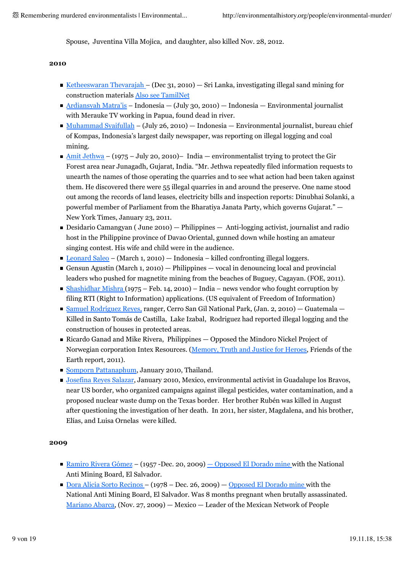Spouse, Juventina Villa Mojica, and daughter, also killed Nov. 28, 2012.

#### **2010**

- Ketheeswaran Thevarajah (Dec 31, 2010) Sri Lanka, investigating illegal sand mining for construction materials Also see TamilNet
- Ardiansyah Matra'is Indonesia (July 30, 2010) Indonesia Environmental journalist with Merauke TV working in Papua, found dead in river.
- Muhammad Syaifullah (July 26, 2010) Indonesia Environmental journalist, bureau chief of Kompas, Indonesia's largest daily newspaper, was reporting on illegal logging and coal mining.
- $\blacksquare$  Amit Jethwa (1975 July 20, 2010)– India environmentalist trying to protect the Gir Forest area near Junagadh, Gujarat, India. "Mr. Jethwa repeatedly filed information requests to unearth the names of those operating the quarries and to see what action had been taken against them. He discovered there were 55 illegal quarries in and around the preserve. One name stood out among the records of land leases, electricity bills and inspection reports: Dinubhai Solanki, a powerful member of Parliament from the Bharatiya Janata Party, which governs Gujarat." — New York Times, January 23, 2011.
- Desidario Camangyan ( June 2010) Philippines Anti-logging activist, journalist and radio host in the Philippine province of Davao Oriental, gunned down while hosting an amateur singing contest. His wife and child were in the audience.
- Leonard Saleo (March 1, 2010) Indonesia killed confronting illegal loggers.
- Gensun Agustin (March 1, 2010) Philippines vocal in denouncing local and provincial leaders who pushed for magnetite mining from the beaches of Buguey, Cagayan. (FOE, 2011).
- Shashidhar Mishra (1975 Feb. 14, 2010) India news vendor who fought corruption by filing RTI (Right to Information) applications. (US equivalent of Freedom of Information)
- Samuel Rodríguez Reyes, ranger, Cerro San Gil National Park, (Jan. 2, 2010) Guatemala Killed in Santo Tomás de Castilla, Lake Izabal, Rodriguez had reported illegal logging and the construction of houses in protected areas.
- Ricardo Ganad and Mike Rivera, Philippines Opposed the Mindoro Nickel Project of Norwegian corporation Intex Resources. (Memory, Truth and Justice for Heroes, Friends of the Earth report, 2011).
- Somporn Pattanaphum, January 2010, Thailand.
- Josefina Reyes Salazar, January 2010, Mexico, environmental activist in Guadalupe los Bravos, near US border, who organized campaigns against illegal pesticides, water contamination, and a proposed nuclear waste dump on the Texas border. Her brother Rubén was killed in August after questioning the investigation of her death. In 2011, her sister, Magdalena, and his brother, Elías, and Luisa Ornelas were killed.

- Ramiro Rivera Gómez (1957 Dec. 20, 2009) Opposed El Dorado mine with the National Anti Mining Board, El Salvador.
- Dora Alicia Sorto Recinos (1978 Dec. 26, 2009) Opposed El Dorado mine with the National Anti Mining Board, El Salvador. Was 8 months pregnant when brutally assassinated. Mariano Abarca, (Nov. 27, 2009) — Mexico — Leader of the Mexican Network of People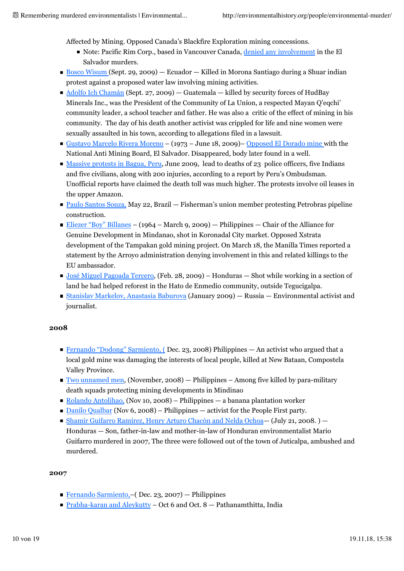Affected by Mining. Opposed Canada's Blackfire Exploration mining concessions.

- Note: Pacific Rim Corp., based in Vancouver Canada, denied any involvement in the El Salvador murders.
- Bosco Wisum (Sept. 29, 2009) Ecuador Killed in Morona Santiago during a Shuar indian protest against a proposed water law involving mining activities.
- Adolfo Ich Chamán (Sept. 27, 2009) Guatemala killed by security forces of HudBay Minerals Inc., was the President of the Community of La Uníon, a respected Mayan Q'eqchi' community leader, a school teacher and father. He was also a critic of the effect of mining in his community. The day of his death another activist was crippled for life and nine women were sexually assaulted in his town, according to allegations filed in a lawsuit.
- Gustavo Marcelo Rivera Moreno (1973 June 18, 2009) Opposed El Dorado mine with the National Anti Mining Board, El Salvador. Disappeared, body later found in a well.
- Massive protests in Bagua, Peru, June 2009, lead to deaths of 23 police officers, five Indians and five civilians, along with 200 injuries, according to a report by Peru's Ombudsman. Unofficial reports have claimed the death toll was much higher. The protests involve oil leases in the upper Amazon.
- Paulo Santos Souza, May 22, Brazil Fisherman's union member protesting Petrobras pipeline construction.
- Eliezer "Boy" Billanes (1964 March 9, 2009) Philippines Chair of the Alliance for Genuine Development in Mindanao, shot in Koronadal City market. Opposed Xstrata development of the Tampakan gold mining project. On March 18, the Manilla Times reported a statement by the Arroyo administration denying involvement in this and related killings to the EU ambassador.
- José Miguel Pagoada Tercero, (Feb. 28, 2009) Honduras Shot while working in a section of land he had helped reforest in the Hato de Enmedio community, outside Tegucigalpa.
- Stanislav Markelov, Anastasia Baburova (January 2009) Russia Environmental activist and journalist.

#### **2008**

- Fernando "Dodong" Sarmiento, ( Dec. 23, 2008) Philippines An activist who argued that a local gold mine was damaging the interests of local people, killed at New Bataan, Compostela Valley Province.
- Two unnamed men, (November, 2008) Philippines Among five killed by para-military death squads protecting mining developments in Mindinao
- Rolando Antolihao, (Nov 10, 2008) Philippines a banana plantation worker
- Danilo Qualbar (Nov 6, 2008) Philippines activist for the People First party.
- Shamir Guifarro Ramírez, Henry Arturo Chacón and Nelda Ochoa— (July 21, 2008. ) Honduras — Son, father-in-law and mother-in-law of Honduran environmentalist Mario Guifarro murdered in 2007, The three were followed out of the town of Juticalpa, ambushed and murdered.

- Fernando Sarmiento, (Dec. 23, 2007) Philippines
- **Prabha-karan and Aleykutty Oct 6 and Oct. 8 Pathanamthitta, India**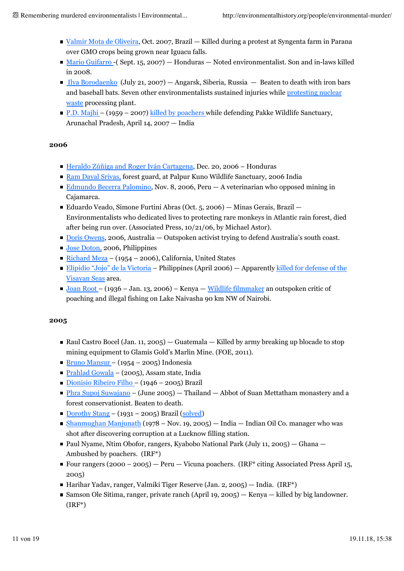- Valmir Mota de Oliveira, Oct. 2007, Brazil Killed during a protest at Syngenta farm in Parana over GMO crops being grown near Iguacu falls.
- Mario Guifarro -( Sept. 15, 2007) Honduras Noted environmentalist. Son and in-laws killed in 2008.
- Ilya Borodaenko (July 21, 2007) Angarsk, Siberia, Russia Beaten to death with iron bars and baseball bats. Seven other environmentalists sustained injuries while protesting nuclear waste processing plant.
- P.D. Majhi (1959 2007) killed by poachers while defending Pakke Wildlife Sanctuary, Arunachal Pradesh, April 14, 2007 — India

- Heraldo Zúñiga and Roger Iván Cartagena, Dec. 20, 2006 Honduras
- Ram Dayal Srivas, forest guard, at Palpur Kuno Wildlife Sanctuary, 2006 India
- Edmundo Becerra Palomino, Nov. 8, 2006, Peru A veterinarian who opposed mining in Cajamarca.
- Eduardo Veado, Simone Furtini Abras (Oct. 5, 2006) Minas Gerais, Brazil Environmentalists who dedicated lives to protecting rare monkeys in Atlantic rain forest, died after being run over. (Associated Press, 10/21/06, by Michael Astor).
- Doris Owens, 2006, Australia Outspoken activist trying to defend Australia's south coast.
- Jose Doton, 2006, Philippines
- Richard Meza (1954 2006), California, United States
- **Elipidio** "Jojo" de la Victoria Philippines (April 2006) Apparently killed for defense of the Visayan Seas area.
- Joan Root (1936 Jan. 13, 2006) Kenya Wildlife filmmaker an outspoken critic of poaching and illegal fishing on Lake Naivasha 90 km NW of Nairobi.

- Raul Castro Bocel (Jan. 11, 2005) Guatemala Killed by army breaking up blocade to stop mining equipment to Glamis Gold's Marlin Mine. (FOE, 2011).
- Bruno Mansur (1954 2005) Indonesia
- Prahlad Gowala (2005), Assam state, India
- Dionisio Ribeiro Filho (1946 2005) Brazil
- **Phra Supoj Suwajano** (June 2005) Thailand Abbot of Suan Mettatham monastery and a forest conservationist. Beaten to death.
- $\blacksquare$  Dorothy Stang (1931 2005) Brazil (solved)
- Shanmughan Manjunath (1978 Nov. 19, 2005) India Indian Oil Co. manager who was shot after discovering corruption at a Lucknow filling station.
- Paul Nyame, Ntim Obofor, rangers, Kyabobo National Park (July 11, 2005) Ghana Ambushed by poachers. (IRF\*)
- Four rangers (2000 2005) Peru Vicuna poachers. (IRF\* citing Associated Press April 15, 2005)
- Harihar Yadav, ranger, Valmiki Tiger Reserve (Jan. 2, 2005) India. (IRF\*)
- Samson Ole Sitima, ranger, private ranch (April 19, 2005) Kenya killed by big landowner.  $(IRF^*)$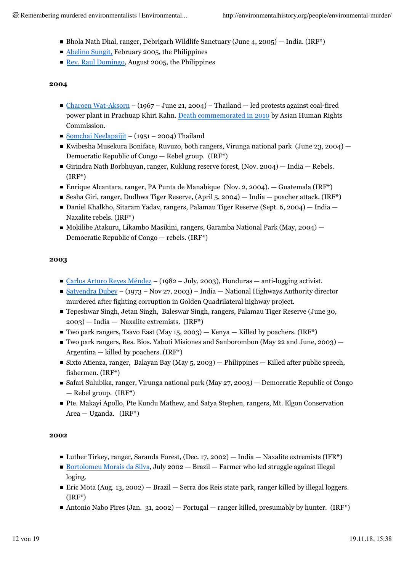- Bhola Nath Dhal, ranger, Debrigarh Wildlife Sanctuary (June 4, 2005) India. (IRF\*)
- Abelino Sungit, February 2005, the Philippines
- Rev. Raul Domingo, August 2005, the Philippines

- Charoen Wat-Aksorn (1967 June 21, 2004) Thailand led protests against coal-fired power plant in Prachuap Khiri Kahn. Death commemorated in 2010 by Asian Human Rights Commission.
- $\blacksquare$  Somchai Neelapaijit (1951 2004) Thailand
- Kwibesha Musekura Boniface, Ruvuzo, both rangers, Virunga national park (June 23, 2004) Democratic Republic of Congo — Rebel group. (IRF\*)
- Girindra Nath Borbhuyan, ranger, Kuklung reserve forest, (Nov. 2004) India Rebels.  $(IRF^*)$
- Enrique Alcantara, ranger, PA Punta de Manabique (Nov. 2, 2004). Guatemala (IRF\*)
- Sesha Giri, ranger, Dudhwa Tiger Reserve, (April 5, 2004) India poacher attack. (IRF\*)
- $\blacksquare$  Daniel Khalkho, Sitaram Yadav, rangers, Palamau Tiger Reserve (Sept. 6, 2004)  $\blacksquare$  India  $\blacksquare$ Naxalite rebels. (IRF\*)
- $\blacksquare$  Mokilibe Atakuru, Likambo Masikini, rangers, Garamba National Park (May, 2004) Democratic Republic of Congo — rebels. (IRF\*)

#### **2003**

- Carlos Arturo Reyes Méndez (1982 July, 2003), Honduras anti-logging activist.
- Satyendra Dubey (1973 Nov 27, 2003) India National Highways Authority director murdered after fighting corruption in Golden Quadrilateral highway project.
- Tepeshwar Singh, Jetan Singh, Baleswar Singh, rangers, Palamau Tiger Reserve (June 30, 2003) — India — Naxalite extremists. (IRF\*)
- Two park rangers, Tsavo East (May 15, 2003) Kenya Killed by poachers. (IRF\*)
- $\blacksquare$  Two park rangers, Res. Bios. Yaboti Misiones and Sanborombon (May 22 and June, 2003)  $-$ Argentina — killed by poachers. (IRF\*)
- Sixto Atienza, ranger, Balayan Bay (May  $5$ , 2003) Philippines Killed after public speech, fishermen. (IRF\*)
- Safari Sulubika, ranger, Virunga national park (May 27, 2003) Democratic Republic of Congo — Rebel group. (IRF\*)
- Pte. Makayi Apollo, Pte Kundu Mathew, and Satya Stephen, rangers, Mt. Elgon Conservation Area — Uganda. (IRF\*)

- Luther Tirkey, ranger, Saranda Forest, (Dec. 17, 2002) India Naxalite extremists (IFR\*)
- Bortolomeu Morais da Silva, July 2002 Brazil Farmer who led struggle against illegal loging.
- Eric Mota (Aug. 13, 2002) Brazil Serra dos Reis state park, ranger killed by illegal loggers.  $(IRF^*)$
- Antonio Nabo Pires (Jan. 31, 2002) Portugal ranger killed, presumably by hunter. (IRF\*)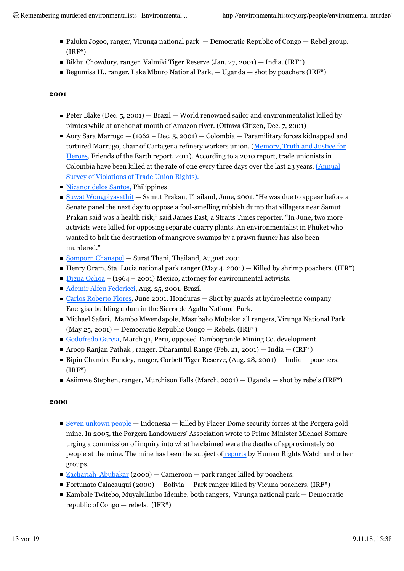- Paluku Jogoo, ranger, Virunga national park  $-$  Democratic Republic of Congo  $-$  Rebel group. (IRF\*)
- Bikhu Chowdury, ranger, Valmiki Tiger Reserve (Jan. 27, 2001) India. (IRF<sup>\*</sup>)
- **Begumisa H., ranger, Lake Mburo National Park, Uganda shot by poachers (IRF\*)**

- Peter Blake (Dec. 5, 2001) Brazil World renowned sailor and environmentalist killed by pirates while at anchor at mouth of Amazon river. (Ottawa Citizen, Dec. 7, 2001)
- Aury Sara Marrugo (1962 Dec. 5, 2001) Colombia Paramilitary forces kidnapped and tortured Marrugo, chair of Cartagena refinery workers union. (Memory, Truth and Justice for Heroes, Friends of the Earth report, 2011). According to a 2010 report, trade unionists in Colombia have been killed at the rate of one every three days over the last 23 years. (Annual Survey of Violations of Trade Union Rights).
- Nicanor delos Santos, Philippines
- Suwat Wongpiyasathit Samut Prakan, Thailand, June, 2001. "He was due to appear before a Senate panel the next day to oppose a foul-smelling rubbish dump that villagers near Samut Prakan said was a health risk," said James East, a Straits Times reporter. "In June, two more activists were killed for opposing separate quarry plants. An environmentalist in Phuket who wanted to halt the destruction of mangrove swamps by a prawn farmer has also been murdered."
- Somporn Chanapol Surat Thani, Thailand, August 2001
- $\blacksquare$  Henry Oram, Sta. Lucia national park ranger (May 4, 2001) Killed by shrimp poachers. (IFR\*)
- $\blacksquare$  Digna Ochoa (1964 2001) Mexico, attorney for environmental activists.
- Ademir Alfeu Federicci, Aug. 25, 2001, Brazil
- Carlos Roberto Flores, June 2001, Honduras Shot by guards at hydroelectric company Energisa building a dam in the Sierra de Agalta National Park.
- Michael Safari, Mambo Mwendapole, Masubaho Mubake; all rangers, Virunga National Park (May 25, 2001) — Democratic Republic Congo — Rebels. (IRF\*)
- Godofredo Garcia, March 31, Peru, opposed Tambogrande Mining Co. development.
- Aroop Ranjan Pathak, ranger, Dharamtul Range (Feb. 21, 2001) India (IRF\*)
- Bipin Chandra Pandey, ranger, Corbett Tiger Reserve, (Aug. 28, 2001) India poachers. (IRF\*)
- Asiimwe Stephen, ranger, Murchison Falls (March, 2001) Uganda shot by rebels (IRF\*)

- Seven unkown people Indonesia killed by Placer Dome security forces at the Porgera gold mine. In 2005, the Porgera Landowners' Association wrote to Prime Minister Michael Somare urging a commission of inquiry into what he claimed were the deaths of approximately 20 people at the mine. The mine has been the subject of reports by Human Rights Watch and other groups.
- Zachariah Abubakar (2000) Cameroon park ranger killed by poachers.
- Fortunato Calacauqui (2000) Bolivia Park ranger killed by Vicuna poachers. (IRF\*)
- Kambale Twitebo, Muyalulimbo Idembe, both rangers, Virunga national park Democratic republic of Congo — rebels. (IFR\*)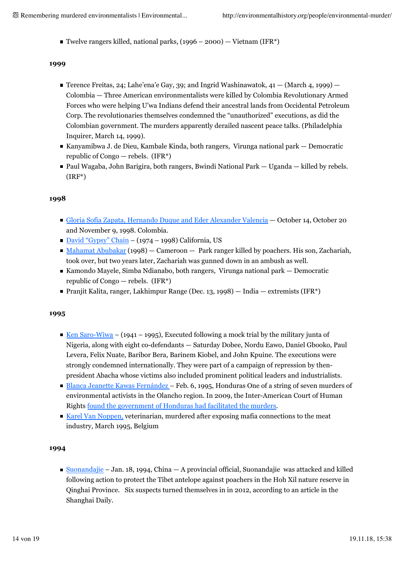■ Twelve rangers killed, national parks,  $(1996 - 2000)$  — Vietnam (IFR<sup>\*</sup>)

#### **1999**

- Terence Freitas, 24; Lahe'ena'e Gay, 39; and Ingrid Washinawatok,  $41 (March\ 4, 1999) -$ Colombia — Three American environmentalists were killed by Colombia Revolutionary Armed Forces who were helping U'wa Indians defend their ancestral lands from Occidental Petroleum Corp. The revolutionaries themselves condemned the "unauthorized" executions, as did the Colombian government. The murders apparently derailed nascent peace talks. (Philadelphia Inquirer, March 14, 1999).
- Kanyamibwa J. de Dieu, Kambale Kinda, both rangers, Virunga national park Democratic republic of Congo — rebels. (IFR\*)
- Paul Wagaba, John Barigira, both rangers, Bwindi National Park Uganda killed by rebels.  $(IRF^*)$

#### **1998**

- Gloria Sofia Zapata, Hernando Duque and Eder Alexander Valencia October 14, October 20 and November 9, 1998. Colombia.
- $\blacksquare$  David "Gypsy" Chain (1974 1998) California, US
- $\blacksquare$  Mahamat Abubakar (1998) Cameroon Park ranger killed by poachers. His son, Zachariah, took over, but two years later, Zachariah was gunned down in an ambush as well.
- Kamondo Mayele, Simba Ndianabo, both rangers, Virunga national park  $-$  Democratic republic of Congo — rebels.  $(IFR^*)$
- Pranjit Kalita, ranger, Lakhimpur Range (Dec. 13, 1998) India extremists (IFR\*)

#### **1995**

- Ken Saro-Wiwa (1941 1995), Executed following a mock trial by the military junta of Nigeria, along with eight co-defendants — Saturday Dobee, Nordu Eawo, Daniel Gbooko, Paul Levera, Felix Nuate, Baribor Bera, Barinem Kiobel, and John Kpuine. The executions were strongly condemned internationally. They were part of a campaign of repression by thenpresident Abacha whose victims also included prominent political leaders and industrialists.
- Blanca Jeanette Kawas Fernández Feb. 6, 1995, Honduras One of a string of seven murders of environmental activists in the Olancho region. In 2009, the Inter-American Court of Human Rights found the government of Honduras had facilitated the murders.
- Karel Van Noppen, veterinarian, murdered after exposing mafia connections to the meat industry, March 1995, Belgium

#### **1994**

Suonandajie – Jan. 18, 1994, China – A provincial official, Suonandajie was attacked and killed following action to protect the Tibet antelope against poachers in the Hoh Xil nature reserve in Qinghai Province. Six suspects turned themselves in in 2012, according to an article in the Shanghai Daily.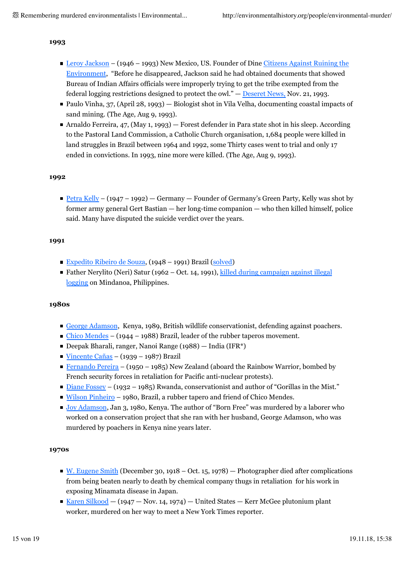- Leroy Jackson (1946 1993) New Mexico, US. Founder of Dine Citizens Against Ruining the Environment, "Before he disappeared, Jackson said he had obtained documents that showed Bureau of Indian Affairs officials were improperly trying to get the tribe exempted from the federal logging restrictions designed to protect the owl." — Deseret News, Nov. 21, 1993.
- Paulo Vinha, 37, (April 28, 1993) Biologist shot in Vila Velha, documenting coastal impacts of sand mining. (The Age, Aug 9, 1993).
- Arnaldo Ferreira, 47, (May 1, 1993) Forest defender in Para state shot in his sleep. According to the Pastoral Land Commission, a Catholic Church organisation, 1,684 people were killed in land struggles in Brazil between 1964 and 1992, some Thirty cases went to trial and only 17 ended in convictions. In 1993, nine more were killed. (The Age, Aug 9, 1993).

#### **1992**

Petra Kelly – (1947 – 1992) – Germany – Founder of Germany's Green Party, Kelly was shot by former army general Gert Bastian — her long-time companion — who then killed himself, police said. Many have disputed the suicide verdict over the years.

#### **1991**

- Expedito Ribeiro de Souza, (1948 1991) Brazil (solved)
- Father Nerylito (Neri) Satur (1962 Oct. 14, 1991), killed during campaign against illegal logging on Mindanoa, Philippines.

#### **1980s**

- George Adamson, Kenya, 1989, British wildlife conservationist, defending against poachers.
- Chico Mendes (1944 1988) Brazil, leader of the rubber taperos movement.
- Deepak Bharali, ranger, Nanoi Range (1988) India (IFR\*)
- Vincente Cañas (1939 1987) Brazil
- **Fernando Pereira (1950 1985)** New Zealand (aboard the Rainbow Warrior, bombed by French security forces in retaliation for Pacific anti-nuclear protests).
- Diane Fossey (1932 1985) Rwanda, conservationist and author of "Gorillas in the Mist."
- Wilson Pinheiro 1980, Brazil, a rubber tapero and friend of Chico Mendes.
- Joy Adamson, Jan 3, 1980, Kenya. The author of "Born Free" was murdered by a laborer who worked on a conservation project that she ran with her husband, George Adamson, who was murdered by poachers in Kenya nine years later.

#### **1970s**

- $W.$  Eugene Smith (December 30, 1918 Oct. 15, 1978) Photographer died after complications from being beaten nearly to death by chemical company thugs in retaliation for his work in exposing Minamata disease in Japan.
- Karen Silkood (1947 Nov. 14, 1974) United States Kerr McGee plutonium plant worker, murdered on her way to meet a New York Times reporter.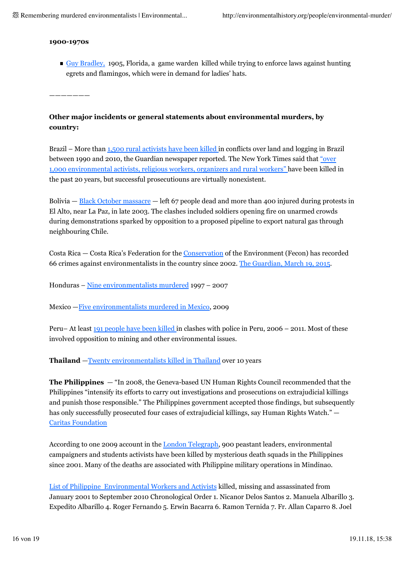#### **1900-1970s**

Guy Bradley, 1905, Florida, a game warden killed while trying to enforce laws against hunting egrets and flamingos, which were in demand for ladies' hats.

———————

# **Other major incidents or general statements about environmental murders, by country:**

Brazil – More than 1,500 rural activists have been killed in conflicts over land and logging in Brazil between 1990 and 2010, the Guardian newspaper reported. The New York Times said that "over 1,000 environmental activists, religious workers, organizers and rural workers" have been killed in the past 20 years, but successful prosecutiouns are virtually nonexistent.

Bolivia — Black October massacre — left 67 people dead and more than 400 injured during protests in El Alto, near La Paz, in late 2003. The clashes included soldiers opening fire on unarmed crowds during demonstrations sparked by opposition to a proposed pipeline to export natural gas through neighbouring Chile.

Costa Rica — Costa Rica's Federation for the Conservation of the Environment (Fecon) has recorded 66 crimes against environmentalists in the country since 2002. The Guardian, March 19, 2015.

Honduras – Nine environmentalists murdered 1997 – 2007

Mexico —Five environmentalists murdered in Mexico, 2009

Peru– At least 191 people have been killed in clashes with police in Peru, 2006 – 2011. Most of these involved opposition to mining and other environmental issues.

**Thailand** —Twenty environmentalists killed in Thailand over 10 years

**The Philippines** — "In 2008, the Geneva-based UN Human Rights Council recommended that the Philippines "intensify its efforts to carry out investigations and prosecutions on extrajudicial killings and punish those responsible." The Philippines government accepted those findings, but subsequently has only successfully prosecuted four cases of extrajudicial killings, say Human Rights Watch." — Caritas Foundation

According to one 2009 account in the London Telegraph, 900 peastant leaders, environmental campaigners and students activists have been killed by mysterious death squads in the Philippines since 2001. Many of the deaths are associated with Philippine military operations in Mindinao.

List of Philippine Environmental Workers and Activists killed, missing and assassinated from January 2001 to September 2010 Chronological Order 1. Nicanor Delos Santos 2. Manuela Albarillo 3. Expedito Albarillo 4. Roger Fernando 5. Erwin Bacarra 6. Ramon Ternida 7. Fr. Allan Caparro 8. Joel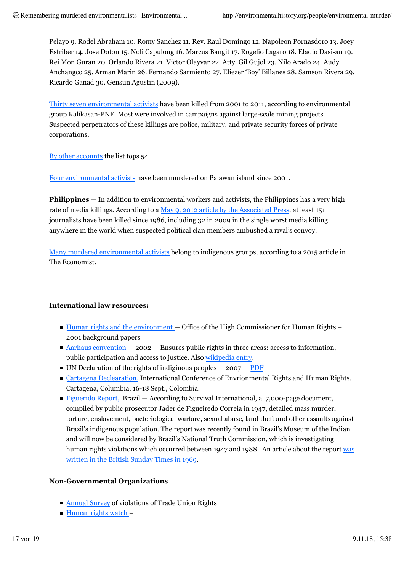Pelayo 9. Rodel Abraham 10. Romy Sanchez 11. Rev. Raul Domingo 12. Napoleon Pornasdoro 13. Joey Estriber 14. Jose Doton 15. Noli Capulong 16. Marcus Bangit 17. Rogelio Lagaro 18. Eladio Dasi-an 19. Rei Mon Guran 20. Orlando Rivera 21. Victor Olayvar 22. Atty. Gil Gujol 23. Nilo Arado 24. Audy Anchangco 25. Arman Marin 26. Fernando Sarmiento 27. Eliezer 'Boy' Billanes 28. Samson Rivera 29. Ricardo Ganad 30. Gensun Agustin (2009).

Thirty seven environmental activists have been killed from 2001 to 2011, according to environmental group Kalikasan-PNE. Most were involved in campaigns against large-scale mining projects. Suspected perpetrators of these killings are police, military, and private security forces of private corporations.

By other accounts the list tops 54.

Four environmental activists have been murdered on Palawan island since 2001.

**Philippines** — In addition to environmental workers and activists, the Philippines has a very high rate of media killings. According to a May 9, 2012 article by the Associated Press, at least 151 journalists have been killed since 1986, including 32 in 2009 in the single worst media killing anywhere in the world when suspected political clan members ambushed a rival's convoy.

Many murdered environmental activists belong to indigenous groups, according to a 2015 article in The Economist.

————————————

## **International law resources:**

- $\blacksquare$  Human rights and the environment  $\blacksquare$  Office of the High Commissioner for Human Rights  $\blacksquare$ 2001 background papers
- Aarhaus convention  $-2002$  Ensures public rights in three areas: access to information, public participation and access to justice. Also wikipedia entry.
- UN Declaration of the rights of indiginous peoples  $-2007 PDF$
- Cartagena Declearation, International Conference of Envrionmental Rights and Human Rights, Cartagena, Columbia, 16-18 Sept., Colombia.
- Figuerido Report, Brazil According to Survival International, a 7,000-page document, compiled by public prosecutor Jader de Figueiredo Correia in 1947, detailed mass murder, torture, enslavement, bacteriological warfare, sexual abuse, land theft and other assaults against Brazil's indigenous population. The report was recently found in Brazil's Museum of the Indian and will now be considered by Brazil's National Truth Commission, which is investigating human rights violations which occurred between 1947 and 1988. An article about the report was written in the British Sunday Times in 1969.

## **Non-Governmental Organizations**

- **Annual Survey of violations of Trade Union Rights**
- $\blacksquare$  Human rights watch –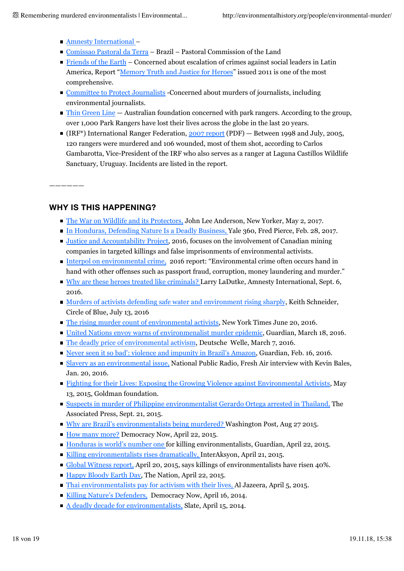- Amnesty International –
- Comissao Pastoral da Terra Brazil Pastoral Commission of the Land
- **Friends of the Earth Concerned about escalation of crimes against social leaders in Latin** America, Report "Memory Truth and Justice for Heroes" issued 2011 is one of the most comprehensive.
- Committee to Protect Journalists -Concerned about murders of journalists, including environmental journalists.
- $\blacksquare$  Thin Green Line  $\blacksquare$  Australian foundation concerned with park rangers. According to the group, over 1,000 Park Rangers have lost their lives across the globe in the last 20 years.
- (IRF<sup>\*</sup>) International Ranger Federation, 2007 report (PDF) Between 1998 and July, 2005, 120 rangers were murdered and 106 wounded, most of them shot, according to Carlos Gambarotta, Vice-President of the IRF who also serves as a ranger at Laguna Castillos Wildlife Sanctuary, Uruguay. Incidents are listed in the report.

——————

# **WHY IS THIS HAPPENING?**

- The War on Wildlife and its Protectors, John Lee Anderson, New Yorker, May 2, 2017.
- In Honduras, Defending Nature Is a Deadly Business, Yale 360, Fred Pierce, Feb. 28, 2017.
- Justice and Accountability Project, 2016, focuses on the involvement of Canadian mining companies in targeted killings and false imprisonments of environmental activists.
- Interpol on environmental crime, 2016 report: "Environmental crime often occurs hand in hand with other offenses such as passport fraud, corruption, money laundering and murder."
- Why are these heroes treated like criminals? Larry LaDutke, Amnesty International, Sept. 6, 2016.
- Murders of activists defending safe water and environment rising sharply, Keith Schneider, Circle of Blue, July 13, 2016
- The rising murder count of environmental activists, New York Times June 20, 2016.
- United Nations envoy warns of environmenalist murder epidemic, Guardian, March 18, 2016.
- The deadly price of environmental activism, Deutsche Welle, March 7, 2016.
- Never seen it so bad': violence and impunity in Brazil's Amazon, Guardian, Feb. 16, 2016.
- Slavery as an environmental issue, National Public Radio, Fresh Air interview with Kevin Bales, Jan. 20, 2016.
- Fighting for their Lives: Exposing the Growing Violence against Environmental Activists, May 13, 2015, Goldman foundation.
- Suspects in murder of Philippine environmentalist Gerardo Ortega arrested in Thailand, The Associated Press, Sept. 21, 2015.
- Why are Brazil's environmentalists being murdered? Washington Post, Aug 27 2015.
- How many more? Democracy Now, April 22, 2015.
- Honduras is world's number one for killing environmentalists, Guardian, April 22, 2015.
- Killing environmentalists rises dramatically, InterAksyon, April 21, 2015.
- Global Witness report, April 20, 2015, says killings of environmentalists have risen 40%.
- Happy Bloody Earth Day, The Nation, April 22, 2015.
- Thai environmentalists pay for activism with their lives, Al Jazeera, April 5, 2015.
- Killing Nature's Defenders, Democracy Now, April 16, 2014.
- A deadly decade for environmentalists, Slate, April 15, 2014.